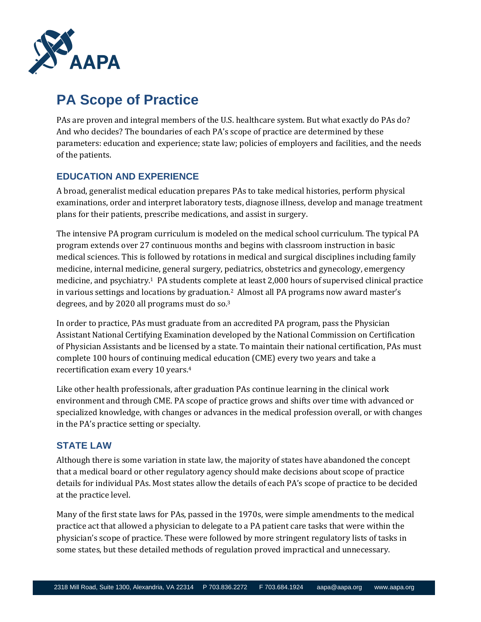

# **PA Scope of Practice**

PAs are proven and integral members of the U.S. healthcare system. But what exactly do PAs do? And who decides? The boundaries of each PA's scope of practice are determined by these parameters: education and experience; state law; policies of employers and facilities, and the needs of the patients.

# **EDUCATION AND EXPERIENCE**

A broad, generalist medical education prepares PAs to take medical histories, perform physical examinations, order and interpret laboratory tests, diagnose illness, develop and manage treatment plans for their patients, prescribe medications, and assist in surgery.

The intensive PA program curriculum is modeled on the medical school curriculum. The typical PA program extends over 27 continuous months and begins with classroom instruction in basic medical sciences. This is followed by rotations in medical and surgical disciplines including family medicine, internal medicine, general surgery, pediatrics, obstetrics and gynecology, emergency medicine, and psychiatry.1 PA students complete at least 2,000 hours of supervised clinical practice in various settings and locations by graduation.<sup>2</sup> Almost all PA programs now award master's degrees, and by 2020 all programs must do so.<sup>3</sup>

In order to practice, PAs must graduate from an accredited PA program, pass the Physician Assistant National Certifying Examination developed by the National Commission on Certification of Physician Assistants and be licensed by a state. To maintain their national certification, PAs must complete 100 hours of continuing medical education (CME) every two years and take a recertification exam every 10 years.<sup>4</sup>

Like other health professionals, after graduation PAs continue learning in the clinical work environment and through CME. PA scope of practice grows and shifts over time with advanced or specialized knowledge, with changes or advances in the medical profession overall, or with changes in the PA's practice setting or specialty.

## **STATE LAW**

Although there is some variation in state law, the majority of states have abandoned the concept that a medical board or other regulatory agency should make decisions about scope of practice details for individual PAs. Most states allow the details of each PA's scope of practice to be decided at the practice level.

Many of the first state laws for PAs, passed in the 1970s, were simple amendments to the medical practice act that allowed a physician to delegate to a PA patient care tasks that were within the physician's scope of practice. These were followed by more stringent regulatory lists of tasks in some states, but these detailed methods of regulation proved impractical and unnecessary.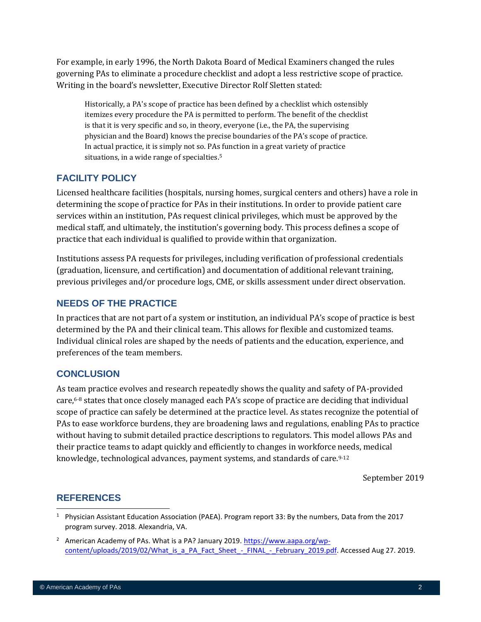For example, in early 1996, the North Dakota Board of Medical Examiners changed the rules governing PAs to eliminate a procedure checklist and adopt a less restrictive scope of practice. Writing in the board's newsletter, Executive Director Rolf Sletten stated:

Historically, a PA's scope of practice has been defined by a checklist which ostensibly itemizes every procedure the PA is permitted to perform. The benefit of the checklist is that it is very specific and so, in theory, everyone (i.e., the PA, the supervising physician and the Board) knows the precise boundaries of the PA's scope of practice. In actual practice, it is simply not so. PAs function in a great variety of practice situations, in a wide range of specialties.<sup>5</sup>

## **FACILITY POLICY**

Licensed healthcare facilities (hospitals, nursing homes, surgical centers and others) have a role in determining the scope of practice for PAs in their institutions. In order to provide patient care services within an institution, PAs request clinical privileges, which must be approved by the medical staff, and ultimately, the institution's governing body. This process defines a scope of practice that each individual is qualified to provide within that organization.

Institutions assess PA requests for privileges, including verification of professional credentials (graduation, licensure, and certification) and documentation of additional relevant training, previous privileges and/or procedure logs, CME, or skills assessment under direct observation.

## **NEEDS OF THE PRACTICE**

In practices that are not part of a system or institution, an individual PA's scope of practice is best determined by the PA and their clinical team. This allows for flexible and customized teams. Individual clinical roles are shaped by the needs of patients and the education, experience, and preferences of the team members.

### **CONCLUSION**

As team practice evolves and research repeatedly shows the quality and safety of PA-provided care,6-8 states that once closely managed each PA's scope of practice are deciding that individual scope of practice can safely be determined at the practice level. As states recognize the potential of PAs to ease workforce burdens, they are broadening laws and regulations, enabling PAs to practice without having to submit detailed practice descriptions to regulators. This model allows PAs and their practice teams to adapt quickly and efficiently to changes in workforce needs, medical knowledge, technological advances, payment systems, and standards of care.9-12

September 2019

### **REFERENCES**

<sup>1</sup> Physician Assistant Education Association (PAEA). Program report 33: By the numbers, Data from the 2017 program survey. 2018. Alexandria, VA.

<sup>&</sup>lt;sup>2</sup> American Academy of PAs. What is a PA? January 2019. [https://www.aapa.org/wp](https://www.aapa.org/wp-content/uploads/2019/02/What_is_a_PA_Fact_Sheet_-_FINAL_-_February_2019.pdf)content/uploads/2019/02/What is a PA Fact Sheet - FINAL - February 2019.pdf. Accessed Aug 27. 2019.